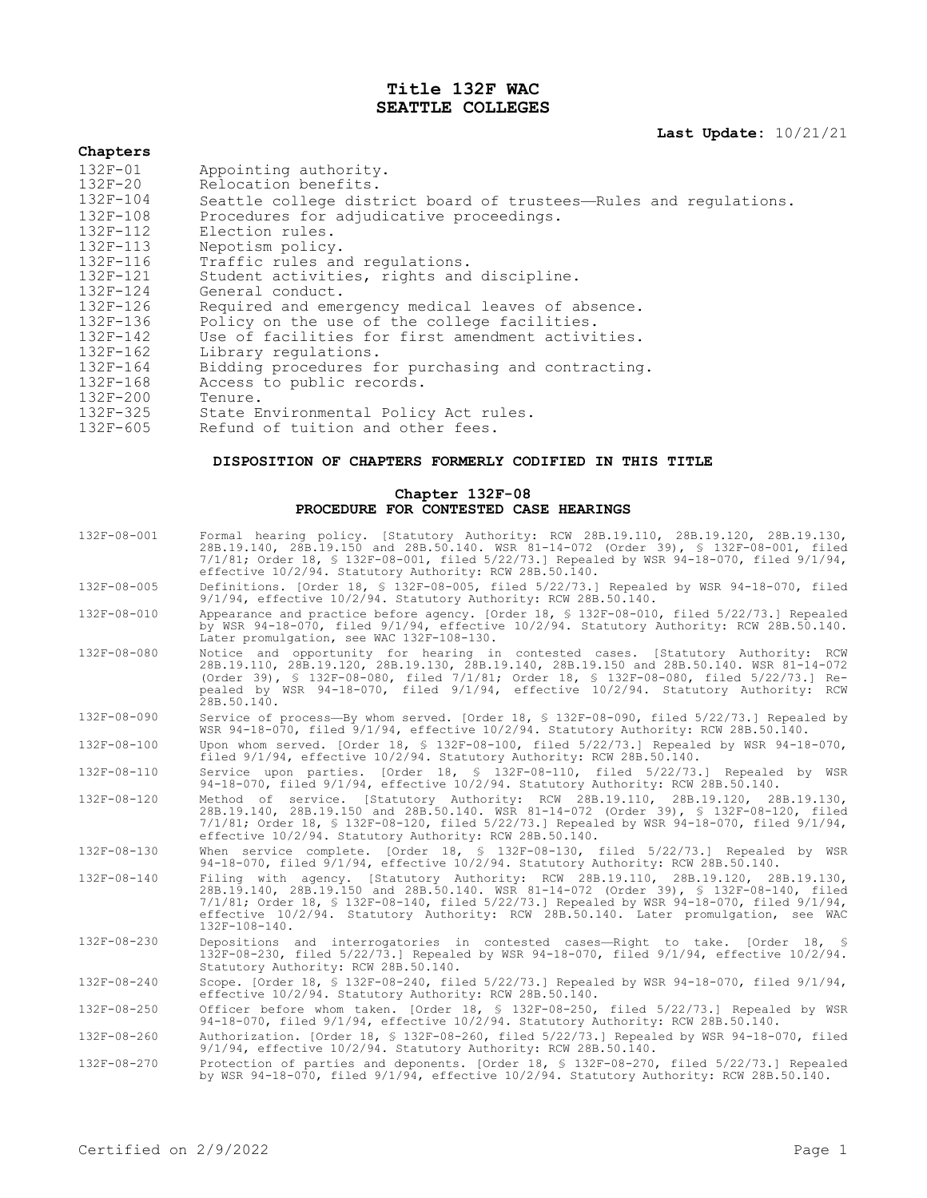# **Title 132F WAC SEATTLE COLLEGES**

## **Last Update:** 10/21/21

# **Chapters**

| $132F - 01$  | Appointing authority.                                             |
|--------------|-------------------------------------------------------------------|
| $132F - 20$  | Relocation benefits.                                              |
| 132F-104     | Seattle college district board of trustees-Rules and regulations. |
| $132F - 108$ | Procedures for adjudicative proceedings.                          |
| $132F - 112$ | Election rules.                                                   |
| 132F-113     | Nepotism policy.                                                  |
| $132F - 116$ | Traffic rules and regulations.                                    |
| 132F-121     | Student activities, rights and discipline.                        |
| $132F - 124$ | General conduct.                                                  |
| $132F - 126$ | Required and emergency medical leaves of absence.                 |
| $132F - 136$ | Policy on the use of the college facilities.                      |
| $132F - 142$ | Use of facilities for first amendment activities.                 |
| $132F - 162$ | Library requlations.                                              |
| $132F - 164$ | Bidding procedures for purchasing and contracting.                |
| $132F - 168$ | Access to public records.                                         |
| $132F - 200$ | Tenure.                                                           |
| $132F - 325$ | State Environmental Policy Act rules.                             |
| $132F - 605$ | Refund of tuition and other fees.                                 |

## **DISPOSITION OF CHAPTERS FORMERLY CODIFIED IN THIS TITLE**

### **Chapter 132F-08 PROCEDURE FOR CONTESTED CASE HEARINGS**

| $132F - 08 - 001$ | Formal hearing policy. [Statutory Authority: RCW 28B.19.110, 28B.19.120, 28B.19.130,<br>28B.19.140, 28B.19.150 and 28B.50.140. WSR 81-14-072 (Order 39), § 132F-08-001, filed<br>$7/1/81$ ; Order 18, § 132F-08-001, filed 5/22/73.] Repealed by WSR 94-18-070, filed 9/1/94,<br>effective 10/2/94. Statutory Authority: RCW 28B.50.140.                                                  |
|-------------------|-------------------------------------------------------------------------------------------------------------------------------------------------------------------------------------------------------------------------------------------------------------------------------------------------------------------------------------------------------------------------------------------|
| 132F-08-005       | Definitions. [Order 18, § 132F-08-005, filed 5/22/73.] Repealed by WSR 94-18-070, filed<br>$9/1/94$ , effective $10/2/94$ . Statutory Authority: RCW 28B.50.140.                                                                                                                                                                                                                          |
| 132F-08-010       | Appearance and practice before agency. [Order 18, § 132F-08-010, filed 5/22/73.] Repealed<br>by WSR 94-18-070, filed 9/1/94, effective 10/2/94. Statutory Authority: RCW 28B.50.140.<br>Later promulgation, see WAC 132F-108-130.                                                                                                                                                         |
| 132F-08-080       | Notice and opportunity for hearing in contested cases. [Statutory Authority: RCW<br>28B.19.110, 28B.19.120, 28B.19.130, 28B.19.140, 28B.19.150 and 28B.50.140. WSR 81-14-072<br>(Order 39), § 132F-08-080, filed 7/1/81; Order 18, § 132F-08-080, filed 5/22/73.] Re-<br>pealed by WSR 94-18-070, filed 9/1/94, effective 10/2/94. Statutory Authority: RCW<br>28B.50.140.                |
| $132F - 08 - 090$ | Service of process-By whom served. [Order 18, § 132F-08-090, filed 5/22/73.] Repealed by<br>WSR 94-18-070, filed 9/1/94, effective 10/2/94. Statutory Authority: RCW 28B.50.140.                                                                                                                                                                                                          |
| 132F-08-100       | Upon whom served. [Order 18, § 132F-08-100, filed 5/22/73.] Repealed by WSR 94-18-070,<br>filed 9/1/94, effective 10/2/94. Statutory Authority: RCW 28B.50.140.                                                                                                                                                                                                                           |
| 132F-08-110       | Service upon parties. [Order 18, § 132F-08-110, filed 5/22/73.] Repealed by WSR<br>94-18-070, filed 9/1/94, effective 10/2/94. Statutory Authority: RCW 28B.50.140.                                                                                                                                                                                                                       |
| 132F-08-120       | Method of service. [Statutory Authority: RCW 28B.19.110, 28B.19.120, 28B.19.130,<br>28B.19.140, 28B.19.150 and 28B.50.140. WSR 81-14-072 (Order 39), § 132F-08-120, filed<br>$7/1/81$ ; Order 18, § 132F-08-120, filed 5/22/73.] Repealed by WSR 94-18-070, filed 9/1/94,<br>effective 10/2/94. Statutory Authority: RCW 28B.50.140.                                                      |
| 132F-08-130       | When service complete. [Order $18$ , § 132F-08-130, filed $5/22/73$ .] Repealed by WSR<br>94-18-070, filed 9/1/94, effective 10/2/94. Statutory Authority: RCW 28B.50.140.                                                                                                                                                                                                                |
| $132F - 08 - 140$ | Filing with agency. [Statutory Authority: RCW 28B.19.110, 28B.19.120, 28B.19.130,<br>28B.19.140, 28B.19.150 and 28B.50.140. WSR 81-14-072 (Order 39), § 132F-08-140, filed<br>$7/1/81$ ; Order 18, § 132F-08-140, filed 5/22/73.] Repealed by WSR 94-18-070, filed 9/1/94,<br>effective 10/2/94. Statutory Authority: RCW 28B.50.140. Later promulgation, see WAC<br>$132F - 108 - 140$ . |
| 132F-08-230       | Depositions and interrogatories in contested cases-Right to take. [Order 18, §<br>132F-08-230, filed 5/22/73.] Repealed by WSR 94-18-070, filed 9/1/94, effective 10/2/94.<br>Statutory Authority: RCW 28B.50.140.                                                                                                                                                                        |
| 132F-08-240       | Scope. [Order 18, § 132F-08-240, filed 5/22/73.] Repealed by WSR 94-18-070, filed 9/1/94,<br>effective 10/2/94. Statutory Authority: RCW 28B.50.140.                                                                                                                                                                                                                                      |
| 132F-08-250       | Officer before whom taken. [Order 18, § 132F-08-250, filed 5/22/73.] Repealed by WSR<br>94-18-070, filed 9/1/94, effective 10/2/94. Statutory Authority: RCW 28B.50.140.                                                                                                                                                                                                                  |
| $132F - 08 - 260$ | Authorization. [Order 18, § 132F-08-260, filed 5/22/73.] Repealed by WSR 94-18-070, filed<br>$9/1/94$ , effective $10/2/94$ . Statutory Authority: RCW 28B.50.140.                                                                                                                                                                                                                        |
| 132F-08-270       | Protection of parties and deponents. [Order 18, § 132F-08-270, filed 5/22/73.] Repealed<br>by WSR 94-18-070, filed 9/1/94, effective 10/2/94. Statutory Authority: RCW 28B.50.140.                                                                                                                                                                                                        |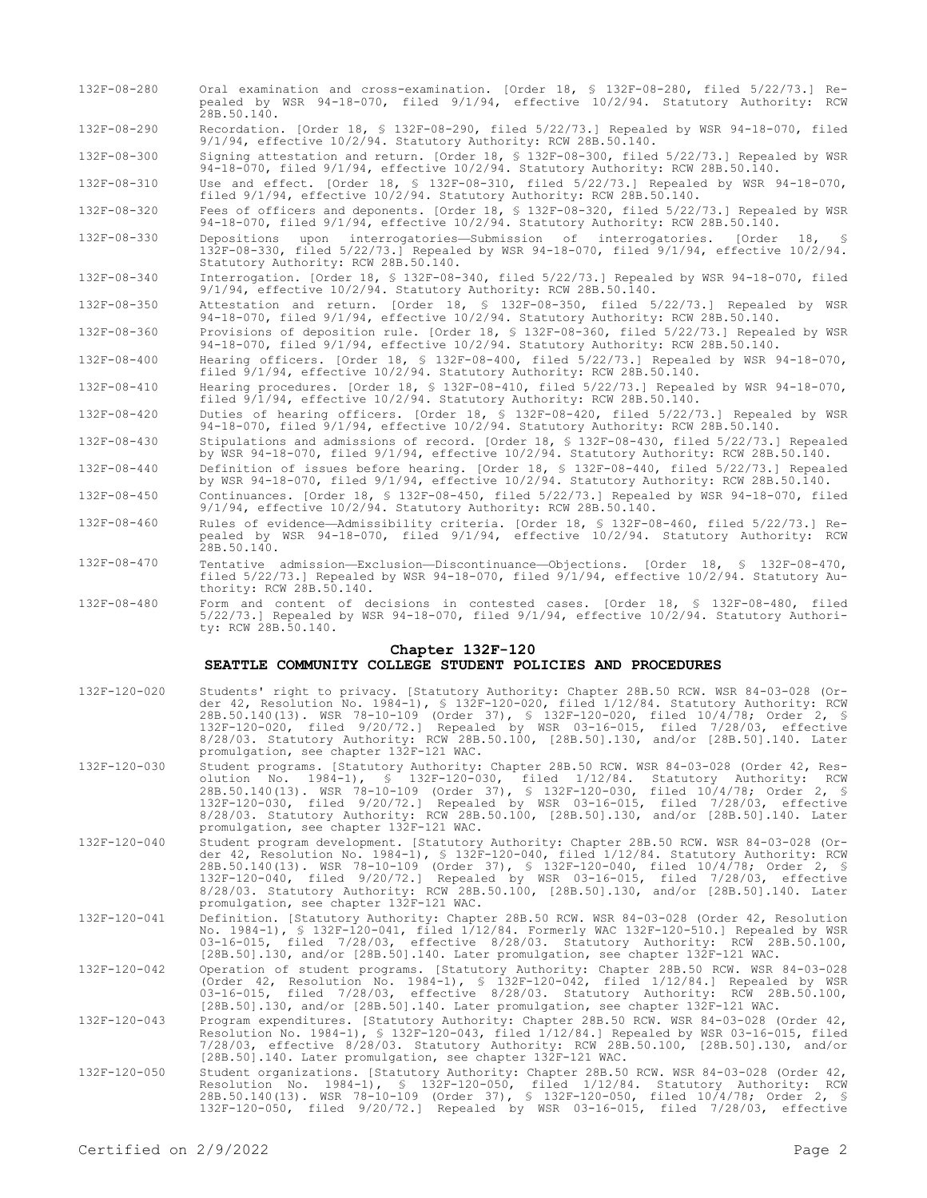- 132F-08-280 Oral examination and cross-examination. [Order 18, § 132F-08-280, filed 5/22/73.] Repealed by WSR 94-18-070, filed 9/1/94, effective 10/2/94. Statutory Authority: RCW 28B.50.140.
- 132F-08-290 Recordation. [Order 18, § 132F-08-290, filed 5/22/73.] Repealed by WSR 94-18-070, filed 9/1/94, effective 10/2/94. Statutory Authority: RCW 28B.50.140.

132F-08-300 Signing attestation and return. [Order 18, § 132F-08-300, filed 5/22/73.] Repealed by WSR 94-18-070, filed 9/1/94, effective 10/2/94. Statutory Authority: RCW 28B.50.140.

132F-08-310 Use and effect. [Order 18, § 132F-08-310, filed 5/22/73.] Repealed by WSR 94-18-070, filed 9/1/94, effective 10/2/94. Statutory Authority: RCW 28B.50.140.

132F-08-320 Fees of officers and deponents. [Order 18, § 132F-08-320, filed 5/22/73.] Repealed by WSR 94-18-070, filed 9/1/94, effective 10/2/94. Statutory Authority: RCW 28B.50.140.

132F-08-330 Depositions upon interrogatories—Submission of interrogatories. [Order 18, § 132F-08-330, filed 5/22/73.] Repealed by WSR 94-18-070, filed 9/1/94, effective 10/2/94. Statutory Authority: RCW 28B.50.140.

132F-08-340 Interrogation. [Order 18, § 132F-08-340, filed 5/22/73.] Repealed by WSR 94-18-070, filed 9/1/94, effective 10/2/94. Statutory Authority: RCW 28B.50.140.

132F-08-350 Attestation and return. [Order 18, § 132F-08-350, filed 5/22/73.] Repealed by WSR 94-18-070, filed 9/1/94, effective 10/2/94. Statutory Authority: RCW 28B.50.140.

132F-08-360 Provisions of deposition rule. [Order 18, § 132F-08-360, filed 5/22/73.] Repealed by WSR 94-18-070, filed 9/1/94, effective 10/2/94. Statutory Authority: RCW 28B.50.140.

132F-08-400 Hearing officers. [Order 18, § 132F-08-400, filed 5/22/73.] Repealed by WSR 94-18-070, filed 9/1/94, effective 10/2/94. Statutory Authority: RCW 28B.50.140.

132F-08-410 Hearing procedures. [Order 18, § 132F-08-410, filed 5/22/73.] Repealed by WSR 94-18-070, filed 9/1/94, effective 10/2/94. Statutory Authority: RCW 28B.50.140.

132F-08-420 Duties of hearing officers. [Order 18, § 132F-08-420, filed 5/22/73.] Repealed by WSR 94-18-070, filed 9/1/94, effective 10/2/94. Statutory Authority: RCW 28B.50.140.

- 132F-08-430 Stipulations and admissions of record. [Order 18, § 132F-08-430, filed 5/22/73.] Repealed by WSR 94-18-070, filed 9/1/94, effective 10/2/94. Statutory Authority: RCW 28B.50.140.
- 132F-08-440 Definition of issues before hearing. [Order 18, § 132F-08-440, filed 5/22/73.] Repealed by WSR 94-18-070, filed 9/1/94, effective 10/2/94. Statutory Authority: RCW 28B.50.140. 132F-08-450 Continuances. [Order 18, § 132F-08-450, filed 5/22/73.] Repealed by WSR 94-18-070, filed

9/1/94, effective 10/2/94. Statutory Authority: RCW 28B.50.140.

- 132F-08-460 Rules of evidence—Admissibility criteria. [Order 18, § 132F-08-460, filed 5/22/73.] Repealed by WSR 94-18-070, filed 9/1/94, effective 10/2/94. Statutory Authority: RCW 28B.50.140.
- 132F-08-470 Tentative admission—Exclusion—Discontinuance—Objections. [Order 18, § 132F-08-470, filed 5/22/73.] Repealed by WSR 94-18-070, filed 9/1/94, effective 10/2/94. Statutory Authority: RCW 28B.50.140.
- 132F-08-480 Form and content of decisions in contested cases. [Order 18, § 132F-08-480, filed 5/22/73.] Repealed by WSR 94-18-070, filed 9/1/94, effective 10/2/94. Statutory Authority: RCW 28B.50.140.

#### **Chapter 132F-120 SEATTLE COMMUNITY COLLEGE STUDENT POLICIES AND PROCEDURES**

- 132F-120-020 Students' right to privacy. [Statutory Authority: Chapter 28B.50 RCW. WSR 84-03-028 (Order 42, Resolution No. 1984-1), § 132F-120-020, filed 1/12/84. Statutory Authority: RCW 28B.50.140(13). WSR 78-10-109 (Order 37), § 132F-120-020, filed 10/4/78; Order 2, § 132F-120-020, filed 9/20/72.] Repealed by WSR 03-16-015, filed 7/28/03, effective 8/28/03. Statutory Authority: RCW 28B.50.100, [28B.50].130, and/or [28B.50].140. Later promulgation, see chapter 132F-121 WAC. 132F-120-030 Student programs. [Statutory Authority: Chapter 28B.50 RCW. WSR 84-03-028 (Order 42, Resolution No. 1984-1), § 132F-120-030, filed 1/12/84. Statutory Authority: RCW
	- 28B.50.140(13). WSR 78-10-109 (Order 37), § 132F-120-030, filed 10/4/78; Order 2, § 132F-120-030, filed 9/20/72.] Repealed by WSR 03-16-015, filed 7/28/03, effective 8/28/03. Statutory Authority: RCW 28B.50.100, [28B.50].130, and/or [28B.50].140. Later promulgation, see chapter 132F-121 WAC.
- 132F-120-040 Student program development. [Statutory Authority: Chapter 28B.50 RCW. WSR 84-03-028 (Order 42, Resolution No. 1984-1), § 132F-120-040, filed 1/12/84. Statutory Authority: RCW 28B.50.140(13). WSR 78-10-109 (Order 37), § 132F-120-040, filed 10/4/78; Order 2, § 132F-120-040, filed 9/20/72.] Repealed by WSR 03-16-015, filed 7/28/03, effective 8/28/03. Statutory Authority: RCW 28B.50.100, [28B.50].130, and/or [28B.50].140. Later promulgation, see chapter 132F-121 WAC.
- 132F-120-041 Definition. [Statutory Authority: Chapter 28B.50 RCW. WSR 84-03-028 (Order 42, Resolution No. 1984-1), § 132F-120-041, filed 1/12/84. Formerly WAC 132F-120-510.] Repealed by WSR 03-16-015, filed 7/28/03, effective 8/28/03. Statutory Authority: RCW 28B.50.100, [28B.50].130, and/or [28B.50].140. Later promulgation, see chapter 132F-121 WAC.
- 132F-120-042 Operation of student programs. [Statutory Authority: Chapter 28B.50 RCW. WSR 84-03-028 (Order 42, Resolution No. 1984-1), § 132F-120-042, filed 1/12/84.] Repealed by WSR 03-16-015, filed 7/28/03, effective 8/28/03. Statutory Authority: RCW 28B.50.100, [28B.50].130, and/or [28B.50].140. Later promulgation, see chapter 132F-121 WAC.
- 132F-120-043 Program expenditures. [Statutory Authority: Chapter 28B.50 RCW. WSR 84-03-028 (Order 42, Resolution No. 1984-1), § 132F-120-043, filed 1/12/84.] Repealed by WSR 03-16-015, filed 7/28/03, effective 8/28/03. Statutory Authority: RCW 28B.50.100, [28B.50].130, and/or [28B.50].140. Later promulgation, see chapter 132F-121 WAC.
- 132F-120-050 Student organizations. [Statutory Authority: Chapter 28B.50 RCW. WSR 84-03-028 (Order 42, Resolution No. 1984-1), § 132F-120-050, filed 1/12/84. Statutory Authority: RCW 28B.50.140(13). WSR 78-10-109 (Order 37), § 132F-120-050, filed 10/4/78; Order 2, § 132F-120-050, filed 9/20/72.] Repealed by WSR 03-16-015, filed 7/28/03, effective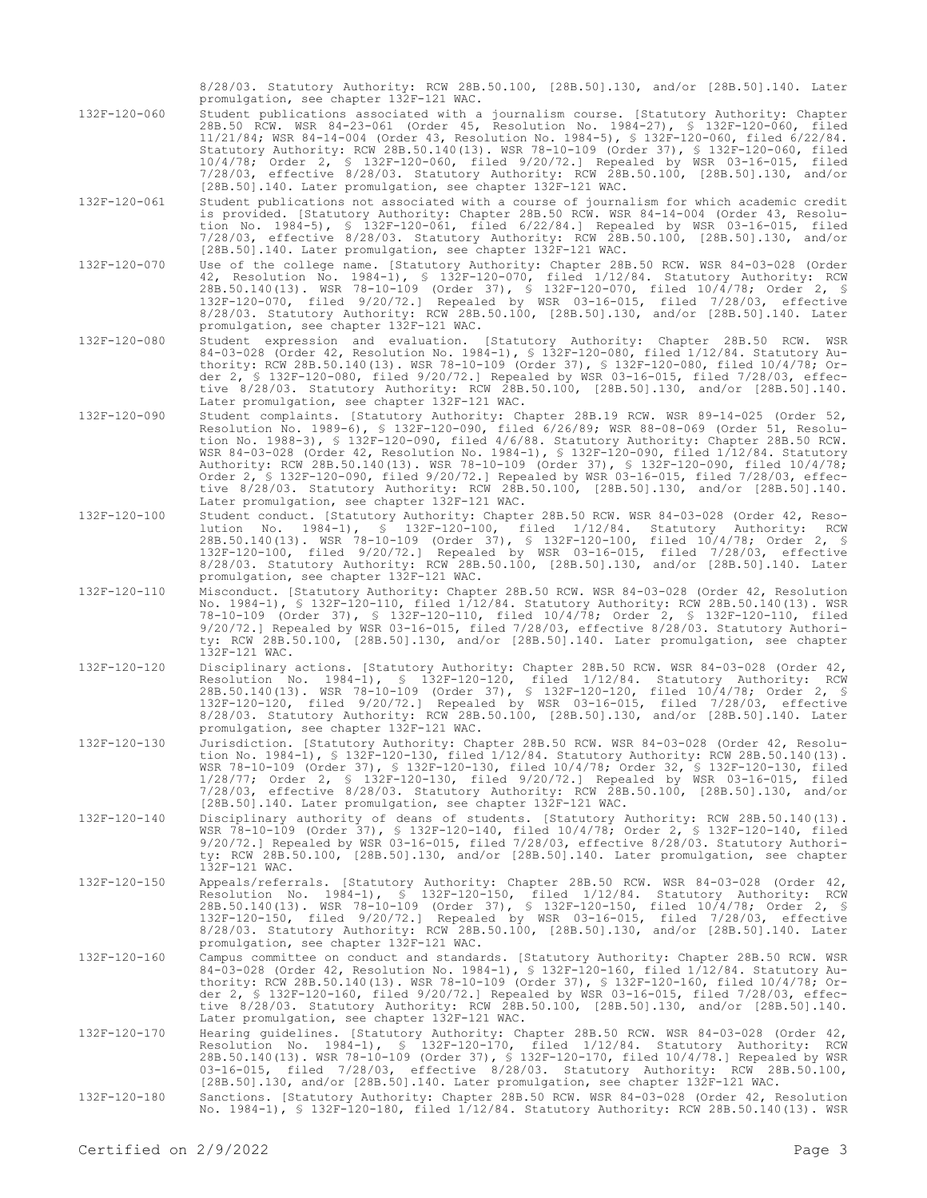|              | 8/28/03. Statutory Authority: RCW 28B.50.100, [28B.50].130, and/or [28B.50].140. Later<br>promulgation, see chapter 132F-121 WAC.                                                                                                                                                                                                                                                                                                                                                                                                                                                                                                                                                                                |
|--------------|------------------------------------------------------------------------------------------------------------------------------------------------------------------------------------------------------------------------------------------------------------------------------------------------------------------------------------------------------------------------------------------------------------------------------------------------------------------------------------------------------------------------------------------------------------------------------------------------------------------------------------------------------------------------------------------------------------------|
| 132F-120-060 | Student publications associated with a journalism course. [Statutory Authority: Chapter<br>28B.50 RCW. WSR 84-23-061 (Order 45, Resolution No. 1984-27), § 132F-120-060, filed<br>11/21/84; WSR 84-14-004 (Order 43, Resolution No. 1984-5), § 132F-120-060, filed 6/22/84.<br>Statutory Authority: RCW 28B.50.140(13). WSR 78-10-109 (Order 37), § 132F-120-060, filed<br>10/4/78; Order 2, § 132F-120-060, filed 9/20/72.] Repealed by WSR 03-16-015, filed<br>7/28/03, effective 8/28/03. Statutory Authority: RCW 28B.50.100, [28B.50].130, and/or<br>[28B.50].140. Later promulgation, see chapter 132F-121 WAC.                                                                                            |
| 132F-120-061 | Student publications not associated with a course of journalism for which academic credit<br>is provided. [Statutory Authority: Chapter 28B.50 RCW. WSR 84-14-004 (Order 43, Resolu-<br>tion No. 1984-5), § 132F-120-061, filed 6/22/84.] Repealed by WSR 03-16-015, filed<br>7/28/03, effective 8/28/03. Statutory Authority: RCW 28B.50.100, [28B.50].130, and/or<br>[28B.50].140. Later promulgation, see chapter 132F-121 WAC.                                                                                                                                                                                                                                                                               |
| 132F-120-070 | Use of the college name. [Statutory Authority: Chapter 28B.50 RCW. WSR 84-03-028 (Order<br>42, Resolution No. 1984-1), § 132F-120-070, filed 1/12/84. Statutory Authority: RCW<br>28B.50.140(13). WSR 78-10-109 (Order 37), \$ 132F-120-070, filed 10/4/78; Order 2, \$<br>132F-120-070, filed 9/20/72.] Repealed by WSR 03-16-015, filed 7/28/03, effective<br>8/28/03. Statutory Authority: RCW 28B.50.100, [28B.50].130, and/or [28B.50].140. Later<br>promulgation, see chapter 132F-121 WAC.                                                                                                                                                                                                                |
| 132F-120-080 | Student expression and evaluation. [Statutory Authority: Chapter 28B.50 RCW.<br>WSR<br>84-03-028 (Order 42, Resolution No. 1984-1), § 132F-120-080, filed 1/12/84. Statutory Au-<br>thority: RCW 28B.50.140(13). WSR 78-10-109 (Order 37), § 132F-120-080, filed 10/4/78; Or-<br>der 2, § 132F-120-080, filed 9/20/72.] Repealed by WSR 03-16-015, filed 7/28/03, effec-<br>tive 8/28/03. Statutory Authority: RCW 28B.50.100, [28B.50].130, and/or [28B.50].140.<br>Later promulgation, see chapter 132F-121 WAC.                                                                                                                                                                                               |
| 132F-120-090 | Student complaints. [Statutory Authority: Chapter 28B.19 RCW. WSR 89-14-025 (Order 52,<br>Resolution No. 1989-6), § 132F-120-090, filed 6/26/89; WSR 88-08-069 (Order 51, Resolu-<br>tion No. 1988-3), § 132F-120-090, filed 4/6/88. Statutory Authority: Chapter 28B.50 RCW.<br>WSR 84-03-028 (Order 42, Resolution No. 1984-1), § 132F-120-090, filed 1/12/84. Statutory<br>Authority: RCW 28B.50.140(13). WSR 78-10-109 (Order 37), § 132F-120-090, filed 10/4/78;<br>Order 2, \$ 132F-120-090, filed $9/20/72$ .] Repealed by WSR 03-16-015, filed 7/28/03, effec-<br>tive 8/28/03. Statutory Authority: RCW 28B.50.100, [28B.50].130, and/or [28B.50].140.<br>Later promulgation, see chapter 132F-121 WAC. |
| 132F-120-100 | Student conduct. [Statutory Authority: Chapter 28B.50 RCW. WSR 84-03-028 (Order 42, Reso-<br>lution No. 1984-1), § 132F-120-100, filed 1/12/84. Statutory Authority: RCW<br>28B.50.140(13). WSR 78-10-109 (Order 37), \$ 132F-120-100, filed 10/4/78; Order 2, \$<br>132F-120-100, filed 9/20/72.] Repealed by WSR 03-16-015, filed 7/28/03, effective<br>8/28/03. Statutory Authority: RCW 28B.50.100, [28B.50].130, and/or [28B.50].140. Later<br>promulgation, see chapter 132F-121 WAC.                                                                                                                                                                                                                      |
| 132F-120-110 | Misconduct. [Statutory Authority: Chapter 28B.50 RCW. WSR 84-03-028 (Order 42, Resolution<br>No. 1984-1), § 132F-120-110, filed 1/12/84. Statutory Authority: RCW 28B.50.140(13). WSR<br>78-10-109 (Order 37), § 132F-120-110, filed 10/4/78; Order 2, § 132F-120-110, filed<br>$9/20/72$ .] Repealed by WSR 03-16-015, filed 7/28/03, effective 8/28/03. Statutory Authori-<br>ty: RCW 28B.50.100, [28B.50].130, and/or [28B.50].140. Later promulgation, see chapter<br>132F-121 WAC.                                                                                                                                                                                                                          |
| 132F-120-120 | Disciplinary actions. [Statutory Authority: Chapter 28B.50 RCW. WSR 84-03-028 (Order 42,<br>Resolution No. $1984-1$ , § $132F-120-120$ , filed $1/12/84$ . Statutory Authority: RCW<br>28B.50.140(13). WSR 78-10-109 (Order 37), \$ 132F-120-120, filed 10/4/78; Order 2, \$<br>132F-120-120, filed 9/20/72.] Repealed by WSR 03-16-015, filed 7/28/03, effective<br>8/28/03. Statutory Authority: RCW 28B.50.100, [28B.50].130, and/or [28B.50].140. Later<br>promulgation, see chapter 132F-121 WAC.                                                                                                                                                                                                           |
| 132F-120-130 | Jurisdiction. [Statutory Authority: Chapter 28B.50 RCW. WSR 84-03-028 (Order 42, Resolu-<br>tion No. 1984-1), \$ 132F-120-130, filed 1/12/84. Statutory Authority: RCW 28B.50.140(13).<br>WSR 78-10-109 (Order 37), § 132F-120-130, filed 10/4/78; Order 32, § 132F-120-130, filed<br>1/28/77; Order 2, § 132F-120-130, filed 9/20/72.1 Repealed by WSR 03-16-015, filed<br>7/28/03, effective 8/28/03. Statutory Authority: RCW 28B.50.100, [28B.50].130, and/or<br>[28B.50].140. Later promulgation, see chapter 132F-121 WAC.                                                                                                                                                                                 |
| 132F-120-140 | Disciplinary authority of deans of students. [Statutory Authority: RCW 28B.50.140(13).<br>WSR 78-10-109 (Order 37), § 132F-120-140, filed 10/4/78; Order 2, § 132F-120-140, filed<br>$9/20/72$ .] Repealed by WSR 03-16-015, filed 7/28/03, effective 8/28/03. Statutory Authori-<br>ty: RCW 28B.50.100, [28B.50].130, and/or [28B.50].140. Later promulgation, see chapter<br>132F-121 WAC.                                                                                                                                                                                                                                                                                                                     |
| 132F-120-150 | Appeals/referrals. [Statutory Authority: Chapter 28B.50 RCW. WSR 84-03-028 (Order 42,<br>Resolution No. 1984-1), § 132F-120-150, filed 1/12/84. Statutory Authority: RCW<br>28B.50.140(13). WSR 78-10-109 (Order 37), § 132F-120-150, filed 10/4/78; Order 2, §<br>132F-120-150, filed 9/20/72.] Repealed by WSR 03-16-015, filed 7/28/03, effective<br>8/28/03. Statutory Authority: RCW 28B.50.100, [28B.50].130, and/or [28B.50].140. Later<br>promulgation, see chapter 132F-121 WAC.                                                                                                                                                                                                                        |
| 132F-120-160 | Campus committee on conduct and standards. [Statutory Authority: Chapter 28B.50 RCW. WSR<br>84-03-028 (Order 42, Resolution No. 1984-1), § 132F-120-160, filed 1/12/84. Statutory Au-<br>thority: RCW 28B.50.140(13). WSR 78-10-109 (Order 37), § 132F-120-160, filed 10/4/78; Or-<br>der 2, \$ 132F-120-160, filed $9/20/72$ .] Repealed by WSR 03-16-015, filed 7/28/03, effec-<br>tive 8/28/03. Statutory Authority: RCW 28B.50.100, [28B.50].130, and/or [28B.50].140.<br>Later promulgation, see chapter 132F-121 WAC.                                                                                                                                                                                      |
| 132F-120-170 | Hearing guidelines. [Statutory Authority: Chapter 28B.50 RCW. WSR 84-03-028 (Order 42,<br>Resolution No. 1984-1), § 132F-120-170, filed 1/12/84. Statutory Authority: RCW<br>28B.50.140(13). WSR 78-10-109 (Order 37), \$ 132F-120-170, filed 10/4/78.] Repealed by WSR<br>03-16-015, filed 7/28/03, effective 8/28/03. Statutory Authority: RCW 28B.50.100,<br>[28B.50].130, and/or [28B.50].140. Later promulgation, see chapter 132F-121 WAC.                                                                                                                                                                                                                                                                 |
| 132F-120-180 | Sanctions. [Statutory Authority: Chapter 28B.50 RCW. WSR 84-03-028 (Order 42, Resolution<br>No. 1984-1), § 132F-120-180, filed 1/12/84. Statutory Authority: RCW 28B.50.140(13). WSR                                                                                                                                                                                                                                                                                                                                                                                                                                                                                                                             |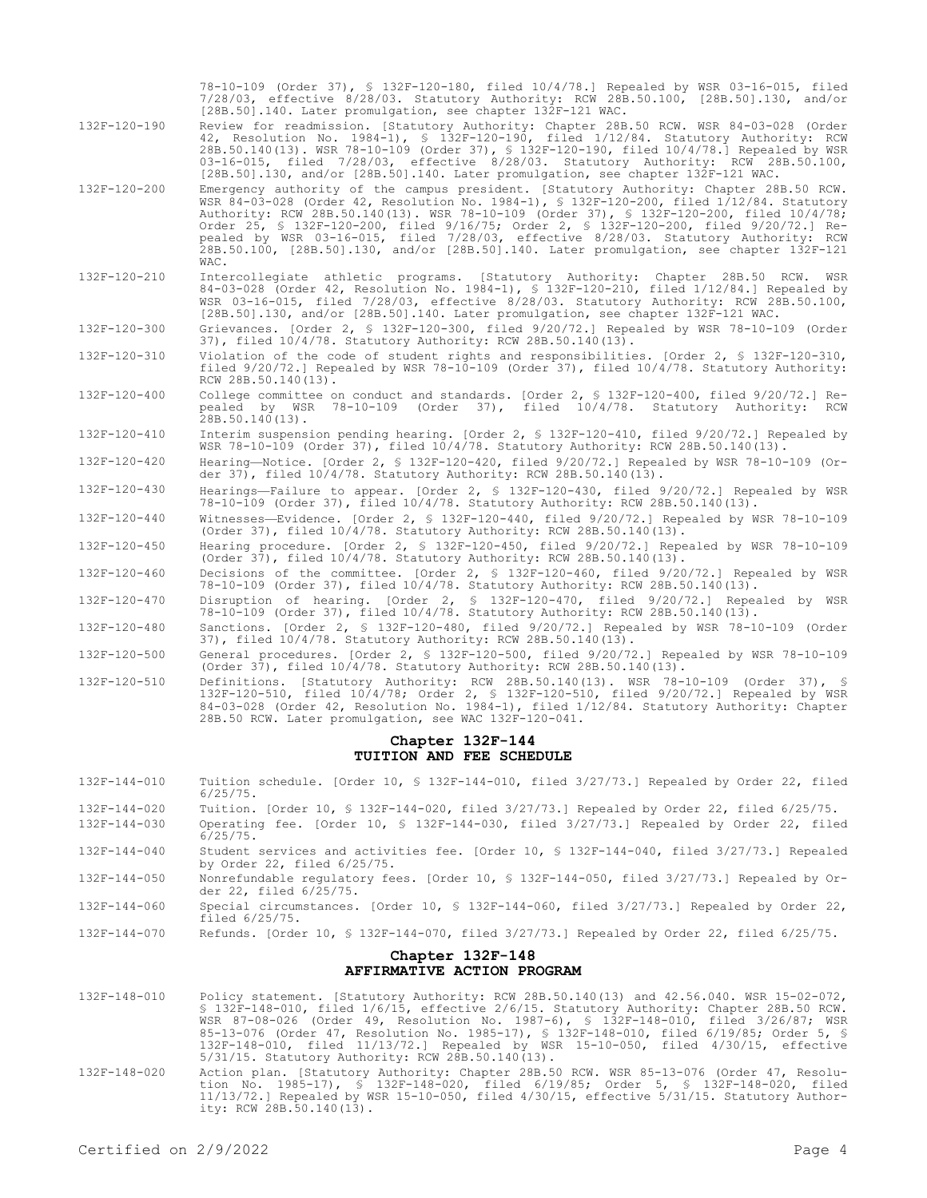|                                                | 78-10-109 (Order 37), § 132F-120-180, filed 10/4/78.] Repealed by WSR 03-16-015, filed<br>7/28/03, effective 8/28/03. Statutory Authority: RCW 28B.50.100, [28B.50].130, and/or<br>[28B.50].140. Later promulgation, see chapter 132F-121 WAC.                                                                                                                                                                                                                                                                                                                    |  |
|------------------------------------------------|-------------------------------------------------------------------------------------------------------------------------------------------------------------------------------------------------------------------------------------------------------------------------------------------------------------------------------------------------------------------------------------------------------------------------------------------------------------------------------------------------------------------------------------------------------------------|--|
| 132F-120-190                                   | Review for readmission. [Statutory Authority: Chapter 28B.50 RCW. WSR 84-03-028 (Order<br>42, Resolution No. 1984-1), § 132F-120-190, filed 1/12/84. Statutory Authority: RCW<br>28B.50.140(13). WSR 78-10-109 (Order 37), § 132F-120-190, filed 10/4/78.] Repealed by WSR<br>03-16-015, filed 7/28/03, effective 8/28/03. Statutory Authority: RCW 28B.50.100,<br>[28B.50].130, and/or [28B.50].140. Later promulgation, see chapter 132F-121 WAC.                                                                                                               |  |
| 132F-120-200                                   | Emergency authority of the campus president. [Statutory Authority: Chapter 28B.50 RCW.<br>WSR 84-03-028 (Order 42, Resolution No. 1984-1), § 132F-120-200, filed 1/12/84. Statutory<br>Authority: RCW 28B.50.140(13). WSR 78-10-109 (Order 37), § 132F-120-200, filed 10/4/78;<br>Order 25, § 132F-120-200, filed 9/16/75; Order 2, § 132F-120-200, filed 9/20/72.] Re-<br>pealed by WSR 03-16-015, filed 7/28/03, effective 8/28/03. Statutory Authority: RCW<br>28B.50.100, [28B.50].130, and/or [28B.50].140. Later promulgation, see chapter 132F-121<br>WAC. |  |
| 132F-120-210                                   | Intercollegiate athletic programs. [Statutory Authority: Chapter 28B.50 RCW. WSR<br>84-03-028 (Order 42, Resolution No. 1984-1), § 132F-120-210, filed 1/12/84.] Repealed by<br>WSR 03-16-015, filed 7/28/03, effective 8/28/03. Statutory Authority: RCW 28B.50.100,<br>[28B.50].130, and/or [28B.50].140. Later promulgation, see chapter 132F-121 WAC.                                                                                                                                                                                                         |  |
| 132F-120-300                                   | Grievances. [Order 2, § 132F-120-300, filed 9/20/72.] Repealed by WSR 78-10-109 (Order<br>37), filed 10/4/78. Statutory Authority: RCW 28B.50.140(13).                                                                                                                                                                                                                                                                                                                                                                                                            |  |
| 132F-120-310                                   | Violation of the code of student rights and responsibilities. [Order 2, § 132F-120-310,<br>filed 9/20/72.] Repealed by WSR 78-10-109 (Order 37), filed 10/4/78. Statutory Authority:<br>RCW 28B.50.140(13).                                                                                                                                                                                                                                                                                                                                                       |  |
| 132F-120-400                                   | College committee on conduct and standards. [Order 2, § 132F-120-400, filed 9/20/72.] Re-<br>pealed by WSR 78-10-109 (Order 37), filed 10/4/78. Statutory Authority: RCW<br>$28B.50.140(13)$ .                                                                                                                                                                                                                                                                                                                                                                    |  |
| 132F-120-410                                   | Interim suspension pending hearing. [Order 2, § 132F-120-410, filed 9/20/72.] Repealed by<br>WSR 78-10-109 (Order 37), filed $10/4/78$ . Statutory Authority: RCW 28B.50.140(13).                                                                                                                                                                                                                                                                                                                                                                                 |  |
| 132F-120-420                                   | Hearing-Notice. [Order 2, § 132F-120-420, filed 9/20/72.] Repealed by WSR 78-10-109 (Or-<br>der 37), filed 10/4/78. Statutory Authority: RCW 28B.50.140(13).                                                                                                                                                                                                                                                                                                                                                                                                      |  |
| 132F-120-430                                   | Hearings-Failure to appear. [Order 2, § 132F-120-430, filed 9/20/72.] Repealed by WSR<br>78-10-109 (Order 37), filed 10/4/78. Statutory Authority: RCW 28B.50.140(13).                                                                                                                                                                                                                                                                                                                                                                                            |  |
| 132F-120-440                                   | Witnesses-Evidence. [Order 2, § 132F-120-440, filed $9/20/72$ .] Repealed by WSR 78-10-109<br>(Order 37), filed $10/4/78$ . Statutory Authority: RCW 28B.50.140(13).                                                                                                                                                                                                                                                                                                                                                                                              |  |
| 132F-120-450                                   | Hearing procedure. [Order 2, § 132F-120-450, filed 9/20/72.] Repealed by WSR 78-10-109<br>(Order 37), filed $10/4/78$ . Statutory Authority: RCW 28B.50.140(13).                                                                                                                                                                                                                                                                                                                                                                                                  |  |
| 132F-120-460                                   | Decisions of the committee. [Order 2, § 132F-120-460, filed 9/20/72.] Repealed by WSR<br>78-10-109 (Order 37), filed 10/4/78. Statutory Authority: RCW 28B.50.140(13).                                                                                                                                                                                                                                                                                                                                                                                            |  |
| 132F-120-470                                   | Disruption of hearing. [Order 2, § 132F-120-470, filed 9/20/72.] Repealed by WSR<br>78-10-109 (Order 37), filed 10/4/78. Statutory Authority: RCW 28B.50.140(13).                                                                                                                                                                                                                                                                                                                                                                                                 |  |
| 132F-120-480                                   | Sanctions. [Order 2, § 132F-120-480, filed 9/20/72.] Repealed by WSR 78-10-109 (Order<br>37), filed 10/4/78. Statutory Authority: RCW 28B.50.140(13).                                                                                                                                                                                                                                                                                                                                                                                                             |  |
| 132F-120-500                                   | General procedures. [Order 2, § 132F-120-500, filed 9/20/72.] Repealed by WSR 78-10-109<br>(Order 37), filed 10/4/78. Statutory Authority: RCW 28B.50.140(13).                                                                                                                                                                                                                                                                                                                                                                                                    |  |
| 132F-120-510                                   | Definitions. [Statutory Authority: RCW 28B.50.140(13). WSR 78-10-109 (Order 37), §<br>132F-120-510, filed 10/4/78; Order 2, § 132F-120-510, filed 9/20/72.] Repealed by WSR<br>84-03-028 (Order 42, Resolution No. 1984-1), filed 1/12/84. Statutory Authority: Chapter<br>28B.50 RCW. Later promulgation, see WAC 132F-120-041.                                                                                                                                                                                                                                  |  |
|                                                | Chapter 132F-144<br>TUITION AND FEE SCHEDULE                                                                                                                                                                                                                                                                                                                                                                                                                                                                                                                      |  |
| 132F-144-010                                   | Tuition schedule. [Order 10, § 132F-144-010, filed 3/27/73.] Repealed by Order 22, filed                                                                                                                                                                                                                                                                                                                                                                                                                                                                          |  |
| 132F-144-020                                   | $6/25/75$ .<br>Tuition. [Order 10, § 132F-144-020, filed $3/27/73$ .] Repealed by Order 22, filed $6/25/75$ .                                                                                                                                                                                                                                                                                                                                                                                                                                                     |  |
| 132F-144-030                                   | Operating fee. [Order 10, § 132F-144-030, filed 3/27/73.] Repealed by Order 22, filed<br>$6/25/75$ .                                                                                                                                                                                                                                                                                                                                                                                                                                                              |  |
| 132F-144-040                                   | Student services and activities fee. [Order 10, § 132F-144-040, filed 3/27/73.] Repealed<br>by Order 22, filed $6/25/75$ .                                                                                                                                                                                                                                                                                                                                                                                                                                        |  |
| 132F-144-050                                   | Nonrefundable regulatory fees. [Order 10, § 132F-144-050, filed 3/27/73.] Repealed by Or-<br>der 22, filed 6/25/75.                                                                                                                                                                                                                                                                                                                                                                                                                                               |  |
| 132F-144-060                                   | Special circumstances. [Order 10, § 132F-144-060, filed $3/27/73$ .] Repealed by Order 22,<br>filed $6/25/75$ .                                                                                                                                                                                                                                                                                                                                                                                                                                                   |  |
| 132F-144-070                                   | Refunds. [Order 10, § 132F-144-070, filed $3/27/73$ .] Repealed by Order 22, filed $6/25/75$ .                                                                                                                                                                                                                                                                                                                                                                                                                                                                    |  |
| Chapter 132F-148<br>AFFIRMATIVE ACTION PROGRAM |                                                                                                                                                                                                                                                                                                                                                                                                                                                                                                                                                                   |  |
| 132F-148-010                                   | Policy statement. [Statutory Authority: RCW 28B.50.140(13) and 42.56.040. WSR 15-02-072,<br>\$ 132F-148-010, filed 1/6/15, effective 2/6/15. Statutory Authority: Chapter 28B.50 RCW.<br>WSR 87-08-026 (Order 49, Resolution No. 1987-6), \$ 132F-148-010, filed 3/26/87; WSR<br>85-13-076 (Order 47, Resolution No. 1985-17), \$ 132F-148-010, filed 6/19/85; Order 5, \$<br>132F-148-010, filed 11/13/72.] Repealed by WSR 15-10-050, filed 4/30/15, effective<br>5/31/15. Statutory Authority: RCW 28B.50.140(13).                                             |  |
| 132F-148-020                                   | Action plan. [Statutory Authority: Chapter 28B.50 RCW. WSR 85-13-076 (Order 47, Resolu-<br>tion No. 1985-17), § 132F-148-020, filed 6/19/85; Order 5, § 132F-148-020, filed                                                                                                                                                                                                                                                                                                                                                                                       |  |

11/13/72.] Repealed by WSR 15-10-050, filed 4/30/15, effective 5/31/15. Statutory Author-

ity: RCW 28B.50.140(13).